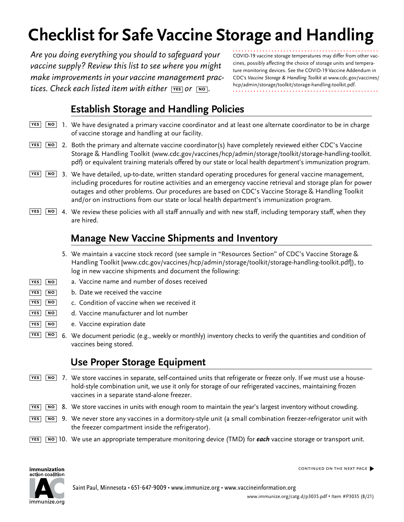# **Checklist for Safe Vaccine Storage and Handling**

*Are you doing everything you should to safeguard your vaccine supply? Review this list to see where you might make improvements in your vaccine management practices. Check each listed item with either* **yes** *or* **no** *.*

COVID-19 vaccine storage temperatures may differ from other vaccines, possibly affecting the choice of storage units and temperature monitoring devices. See the COVID-19 Vaccine Addendum in CDC's *Vaccine Storage & Handling Toolkit* at [www.cdc.gov/vaccines/](https://www.cdc.gov/vaccines/hcp/admin/storage/toolkit/storage-handling-toolkit.pdf) [hcp/admin/storage/toolkit/storage-handling-toolkit.pdf](https://www.cdc.gov/vaccines/hcp/admin/storage/toolkit/storage-handling-toolkit.pdf).

# **Establish Storage and Handling Policies**

- 1. We have designated a primary vaccine coordinator and at least one alternate coordinator to be in charge **yes no** of vaccine storage and handling at our facility.
- 2. Both the primary and alternate vaccine coordinator(s) have completely reviewed either CDC's Vaccine **yes no** Storage & Handling Toolkit [\(www.cdc.gov/vaccines/hcp/admin/storage/toolkit/storage-handling-toolkit.](http://www.cdc.gov/vaccines/hcp/admin/storage/toolkit/storage-handling-toolkit.pdf) [pdf](http://www.cdc.gov/vaccines/hcp/admin/storage/toolkit/storage-handling-toolkit.pdf)) or equivalent training materials offered by our state or local health department's immunization program.
- 3. We have detailed, up-to-date, written standard operating procedures for general vaccine management, **yes no** including procedures for routine activities and an emergency vaccine retrieval and storage plan for power outages and other problems. Our procedures are based on CDC's Vaccine Storage & Handling Toolkit and/or on instructions from our state or local health department's immunization program.
- 4. We review these policies with all staff annually and with new staff, including temporary staff, when they **yes no** are hired.

## **Manage New Vaccine Shipments and Inventory**

- 5. We maintain a vaccine stock record (see sample in "Resources Section" of CDC's Vaccine Storage & Handling Toolkit [\[www.cdc.gov/vaccines/hcp/admin/storage/toolkit/storage-handling-toolkit.pdf\]](http://www.cdc.gov/vaccines/hcp/admin/storage/toolkit/storage-handling-toolkit.pdf)), to log in new vaccine shipments and document the following:
- a. Vaccine name and number of doses received **yes no**
- b. Date we received the vaccine **yes no**
- c. Condition of vaccine when we received it **yes no**
- d. Vaccine manufacturer and lot number **yes no**
- e. Vaccine expiration date **yes no**
- 6. We document periodic (e.g., weekly or monthly) inventory checks to verify the quantities and condition of vaccines being stored.  $YES$  **NO**

#### **Use Proper Storage Equipment**

- 7. We store vaccines in separate, self-contained units that refrigerate or freeze only. If we must use a house-**yes no** hold-style combination unit, we use it only for storage of our refrigerated vaccines, maintaining frozen vaccines in a separate stand-alone freezer.
- 8. We store vaccines in units with enough room to maintain the year's largest inventory without crowding. **yes no**
- 9. We never store any vaccines in a dormitory-style unit (a small combination freezer-refrigerator unit with **yes no**the freezer compartment inside the refrigerator).
- 10. We use an appropriate temperature monitoring device (TMD) for *each* vaccine storage or transport unit. **yes no**



continued on the next page�

immunize.org

Saint Paul, Minnesota • 651-647-9009 • [www.immunize.org](http://www.immunize.org) • [www.vaccineinformation.org](http://www.vaccineinformation.org)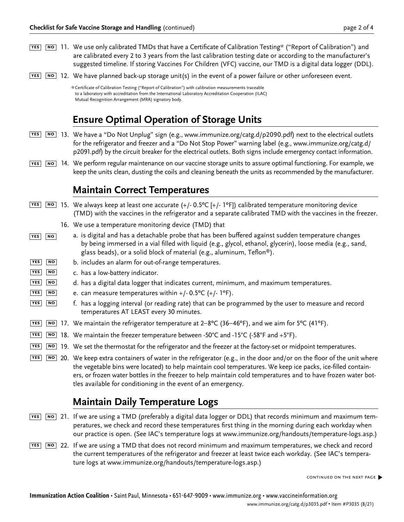- 11. We use only calibrated TMDs that have a Certificate of Calibration Testing\* ("Report of Calibration") and **yes no** are calibrated every 2 to 3 years from the last calibration testing date or according to the manufacturer's suggested timeline. If storing Vaccines For Children (VFC) vaccine, our TMD is a digital data logger (DDL).
- 12. We have planned back-up storage unit(s) in the event of a power failure or other unforeseen event. **yes no**

## **Ensure Optimal Operation of Storage Units**

- 13. We have a "Do Not Unplug" sign (e.g., [www.immunize.org/catg.d/p](http://www.immunize.org/catg.d/p2090.pdf)2090.pdf) next to the electrical outlets **yes no**for the refrigerator and freezer and a "Do Not Stop Power" warning label (e.g., [www.immunize.org/catg.d/](http://www.immunize.org/catg.d/p2091.pdf) [p2091](http://www.immunize.org/catg.d/p2091.pdf).pdf) by the circuit breaker for the electrical outlets. Both signs include emergency contact information.
- 14. We perform regular maintenance on our vaccine storage units to assure optimal functioning. For example, we **yes no** keep the units clean, dusting the coils and cleaning beneath the units as recommended by the manufacturer.

#### **Maintain Correct Temperatures**

- 15. We always keep at least one accurate (+/- 0.5ºC [+/- 1ºF]) calibrated temperature monitoring device **yes no** (TMD) with the vaccines in the refrigerator and a separate calibrated TMD with the vaccines in the freezer.
	- 16. We use a temperature monitoring device (TMD) that
- a. is digital and has a detachable probe that has been buffered against sudden temperature changes by being immersed in a vial filled with liquid (e.g., glycol, ethanol, glycerin), loose media (e.g., sand, glass beads), or a solid block of material (e.g., aluminum, Teflon®). **yes no**
- b. includes an alarm for out-of-range temperatures.  $YES$  **NO**
- c. has a low-battery indicator.  $YES$  **NO**
- d. has a digital data logger that indicates current, minimum, and maximum temperatures. **yes no**
- e. can measure temperatures within  $+/- 0.5$ °C ( $+/- 1$ °F). **yes no**
- f. has a logging interval (or reading rate) that can be programmed by the user to measure and record temperatures AT LEAST every 30 minutes. **yes no**
- 17. We maintain the refrigerator temperature at 2–8ºC (36–46ºF), and we aim for 5ºC (41ºF). **yes no**
- 18. We maintain the freezer temperature between -50°C and -15°C (-58°F and +5°F). **yes no**
- 19. We set the thermostat for the refrigerator and the freezer at the factory-set or midpoint temperatures. **yes no**
- 20. We keep extra containers of water in the refrigerator (e.g., in the door and/or on the floor of the unit where **yes no** the vegetable bins were located) to help maintain cool temperatures. We keep ice packs, ice-filled containers, or frozen water bottles in the freezer to help maintain cold temperatures and to have frozen water bottles available for conditioning in the event of an emergency.

#### **Maintain Daily Temperature Logs**

- 21. If we are using a TMD (preferably a digital data logger or DDL) that records minimum and maximum tem-**yes no** peratures, we check and record these temperatures first thing in the morning during each workday when our practice is open. (See IAC's temperature logs at [www.immunize.org/handouts/temperature-logs.asp](http://www.immunize.org/handouts/temperature-logs.asp).)
- 22. If we are using a TMD that does not record minimum and maximum temperatures, we check and record **yes no** the current temperatures of the refrigerator and freezer at least twice each workday. (See IAC's temperature logs at [www.immunize.org/handouts/temperature-logs.asp](http://www.immunize.org/handouts/temperature-logs.asp).)

<sup>\*</sup>Certificate of Calibration Testing ("Report of Calibration") with calibration measurements traceable to a laboratory with accreditation from the International Laboratory Accreditation Cooperation (ILAC) Mutual Recognition Arrangement (MRA) signatory body.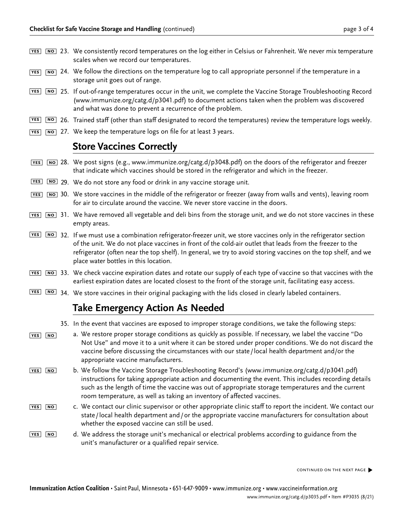- 23. We consistently record temperatures on the log either in Celsius or Fahrenheit. We never mix temperature **yes no** scales when we record our temperatures.
- 24. We follow the directions on the temperature log to call appropriate personnel if the temperature in a **yes no** storage unit goes out of range.
- 25. If out-of-range temperatures occur in the unit, we complete the Vaccine Storage Troubleshooting Record **yes no** ([www.immunize.org/catg.d/p3041.pdf](http://www.immunize.org/catg.d/p3041.pdf)) to document actions taken when the problem was discovered and what was done to prevent a recurrence of the problem.
- 26. Trained staff (other than staff designated to record the temperatures) review the temperature logs weekly. **yes no**
- 27. We keep the temperature logs on file for at least 3 years. **yes no**

## **Store Vaccines Correctly**

- 28. We post signs (e.g., [www.immunize.org/catg.d/p3](http://www.immunize.org/catg.d/p3048.pdf)048.pdf) on the doors of the refrigerator and freezer **yes no** that indicate which vaccines should be stored in the refrigerator and which in the freezer.
- 29. We do not store any food or drink in any vaccine storage unit. **yes no**
- 30. We store vaccines in the middle of the refrigerator or freezer (away from walls and vents), leaving room **yes no** for air to circulate around the vaccine. We never store vaccine in the doors.
- 31. We have removed all vegetable and deli bins from the storage unit, and we do not store vaccines in these **yes no** empty areas.
- 32. If we must use a combination refrigerator-freezer unit, we store vaccines only in the refrigerator section **yes no** of the unit. We do not place vaccines in front of the cold-air outlet that leads from the freezer to the refrigerator (often near the top shelf). In general, we try to avoid storing vaccines on the top shelf, and we place water bottles in this location.
- 33. We check vaccine expiration dates and rotate our supply of each type of vaccine so that vaccines with the **yes no** earliest expiration dates are located closest to the front of the storage unit, facilitating easy access.
- 34. We store vaccines in their original packaging with the lids closed in clearly labeled containers. **yes no**

#### **Take Emergency Action As Needed**

- 35. In the event that vaccines are exposed to improper storage conditions, we take the following steps:
- a. We restore proper storage conditions as quickly as possible. If necessary, we label the vaccine "Do Not Use" and move it to a unit where it can be stored under proper conditions. We do not discard the vaccine before discussing the circumstances with our state/local health department and/or the appropriate vaccine manufacturers. **yes no**
- b. We follow the Vaccine Storage Troubleshooting Record's [\(www.immunize.org/catg.d/p](http://www.immunize.org/catg.d/p3041.pdf)3041.pdf) instructions for taking appropriate action and documenting the event. This includes recording details such as the length of time the vaccine was out of appropriate storage temperatures and the current room temperature, as well as taking an inventory of affected vaccines. **yes no**
- c. We contact our clinic supervisor or other appropriate clinic staff to report the incident. We contact our state/local health department and/or the appropriate vaccine manufacturers for consultation about whether the exposed vaccine can still be used. **yes no**
- d. We address the storage unit's mechanical or electrical problems according to guidance from the unit's manufacturer or a qualified repair service. **yes no**

continued on the next page�